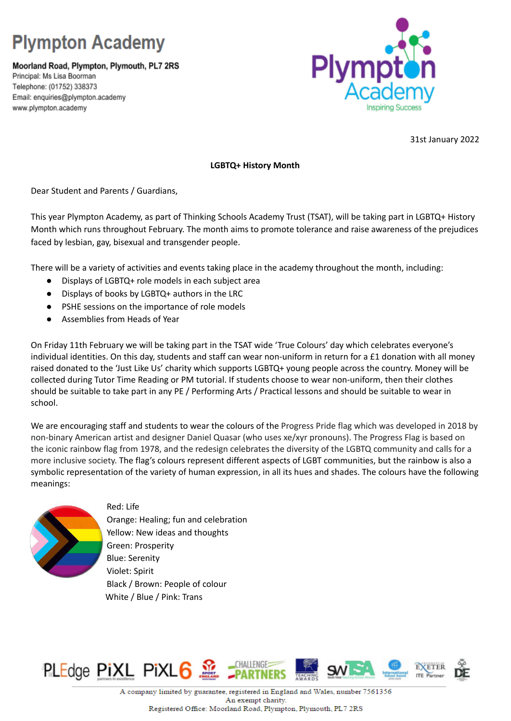## **Plympton Academy**

Moorland Road, Plympton, Plymouth, PL7 2RS Principal: Ms Lisa Boorman Telephone: (01752) 338373 Email: enquiries@plympton.academy www.plympton.academy



31st January 2022

## **LGBTQ+ History Month**

Dear Student and Parents / Guardians,

This year Plympton Academy, as part of Thinking Schools Academy Trust (TSAT), will be taking part in LGBTQ+ History Month which runs throughout February. The month aims to promote tolerance and raise awareness of the prejudices faced by lesbian, gay, bisexual and transgender people.

There will be a variety of activities and events taking place in the academy throughout the month, including:

- Displays of LGBTQ+ role models in each subject area
- Displays of books by LGBTQ+ authors in the LRC
- PSHE sessions on the importance of role models
- Assemblies from Heads of Year

On Friday 11th February we will be taking part in the TSAT wide 'True Colours' day which celebrates everyone's individual identities. On this day, students and staff can wear non-uniform in return for a £1 donation with all money raised donated to the 'Just Like Us' charity which supports LGBTQ+ young people across the country. Money will be collected during Tutor Time Reading or PM tutorial. If students choose to wear non-uniform, then their clothes should be suitable to take part in any PE / Performing Arts / Practical lessons and should be suitable to wear in school.

We are encouraging staff and students to wear the colours of the Progress Pride flag which was developed in 2018 by non-binary American artist and designer Daniel Quasar (who uses xe/xyr pronouns). The Progress Flag is based on the iconic rainbow flag from 1978, and the redesign celebrates the diversity of the LGBTQ community and calls for a more inclusive society. The flag's colours represent different aspects of LGBT communities, but the rainbow is also a symbolic representation of the variety of human expression, in all its hues and shades. The colours have the following meanings:



Red: Life Orange: Healing; fun and celebration Yellow: New ideas and thoughts Green: Prosperity Blue: Serenity Violet: Spirit Black / Brown: People of colour White / Blue / Pink: Trans



A company limited by guarantee, registered in England and Wales, number 7561356 An exempt charity. Registered Office: Moorland Road, Plympton, Plymouth, PL7 2RS